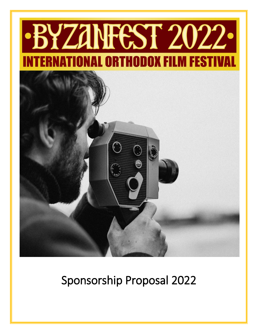# BYZANFEST 2022. IONAL ORTHODOX FILM FESTI



## Sponsorship Proposal 2022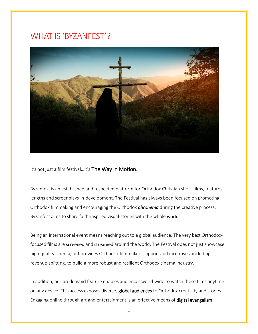### WHAT IS 'BYZANFEST'?



It's not just a film festival...it's The Way in Motion.

Byzanfest is an established and respected platform for Orthodox Christian short-films, featureslengths and screenplays-in-development. The Festival has always been focused on promoting Orthodox filmmaking and encouraging the Orthodox *phronema* during the creative process. Byzanfest aims to share faith-inspired visual-stories with the whole world.

Being an international event means reaching out to a global audience. The very best Orthodoxfocused films are screened and streamed around the world. The Festival does not just showcase high-quality cinema, but provides Orthodox filmmakers support and incentives, including revenue-splitting, to build a more robust and resilient Orthodox cinema industry.

In addition, our on-demand feature enables audiences world-wide to watch these films anytime on any device. This access exposes diverse, global audiences to Orthodox creativity and stories. Engaging online through art and entertainment is an effective means of digital evangelism.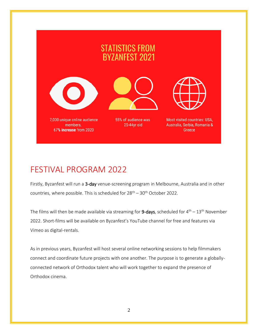## **STATISTICS FROM BYZANFEST 2021**





55% of audience was 25-44yr old



Most visited countries: USA, Australia, Serbia, Romania & Greece

## FESTIVAL PROGRAM 2022

Firstly, Byzanfest will run a 3-day venue-screening program in Melbourne, Australia and in other countries, where possible. This is scheduled for  $28<sup>th</sup> - 30<sup>th</sup>$  October 2022.

The films will then be made available via streaming for  $9$ -days, scheduled for  $4<sup>th</sup> - 13<sup>th</sup>$  November 2022. Short-films will be available on Byzanfest's YouTube channel for free and features via Vimeo as digital-rentals.

As in previous years, Byzanfest will host several online networking sessions to help filmmakers connect and coordinate future projects with one another. The purpose is to generate a globallyconnected network of Orthodox talent who will work together to expand the presence of Orthodox cinema.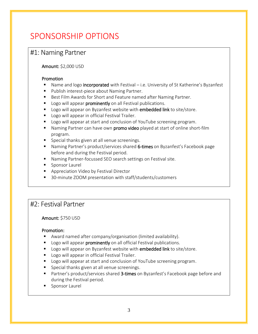## SPONSORSHIP OPTIONS

#### #1: Naming Partner

Amount: \$2,000 USD

#### Promotion

- Name and logo incorporated with Festival i.e. University of St Katherine's Byzanfest
- **Publish interest-piece about Naming Partner.**
- Best Film Awards for Short and Feature named after Naming Partner.
- **Logo will appear prominently on all Festival publications.**
- Logo will appear on Byzanfest website with **embedded link** to site/store.
- **Logo will appear in official Festival Trailer.**
- **Logo will appear at start and conclusion of YouTube screening program.**
- **Naming Partner can have own promo video** played at start of online short-film program.
- **Special thanks given at all venue screenings.**
- Naming Partner's product/services shared 6-times on Byzanfest's Facebook page before and during the Festival period.
- Naming Partner-focussed SEO search settings on Festival site.
- **Sponsor Laurel**
- **Appreciation Video by Festival Director**
- 30-minute ZOOM presentation with staff/students/customers

#### #2: Festival Partner

Amount: \$750 USD

#### Promotion:

- Award named after company/organisation (limited availability).
- **Logo will appear prominently on all official Festival publications.**
- Logo will appear on Byzanfest website with **embedded link** to site/store.
- **Logo will appear in official Festival Trailer.**
- **Logo will appear at start and conclusion of YouTube screening program.**
- **Special thanks given at all venue screenings.**
- **Partner's product/services shared 3-times on Byzanfest's Facebook page before and** during the Festival period.
- **Sponsor Laurel**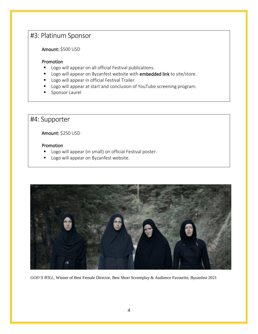#### #3: Platinum Sponsor

Amount: \$500 USD

#### Promotion

- **Logo will appear on all official Festival publications.**
- Logo will appear on Byzanfest website with **embedded link** to site/store.
- **Logo will appear in official Festival Trailer.**
- **Logo will appear at start and conclusion of YouTube screening program.**
- **Sponsor Laurel**

#### #4: Supporter

Amount: \$250 USD

#### Promotion

- Logo will appear (in small) on official Festival poster.
- **Logo will appear on Byzanfest website.**



*GOD'S WILL*, Winner of Best Female Director, Best Short Screenplay & Audience Favourite, Byzanfest 2021